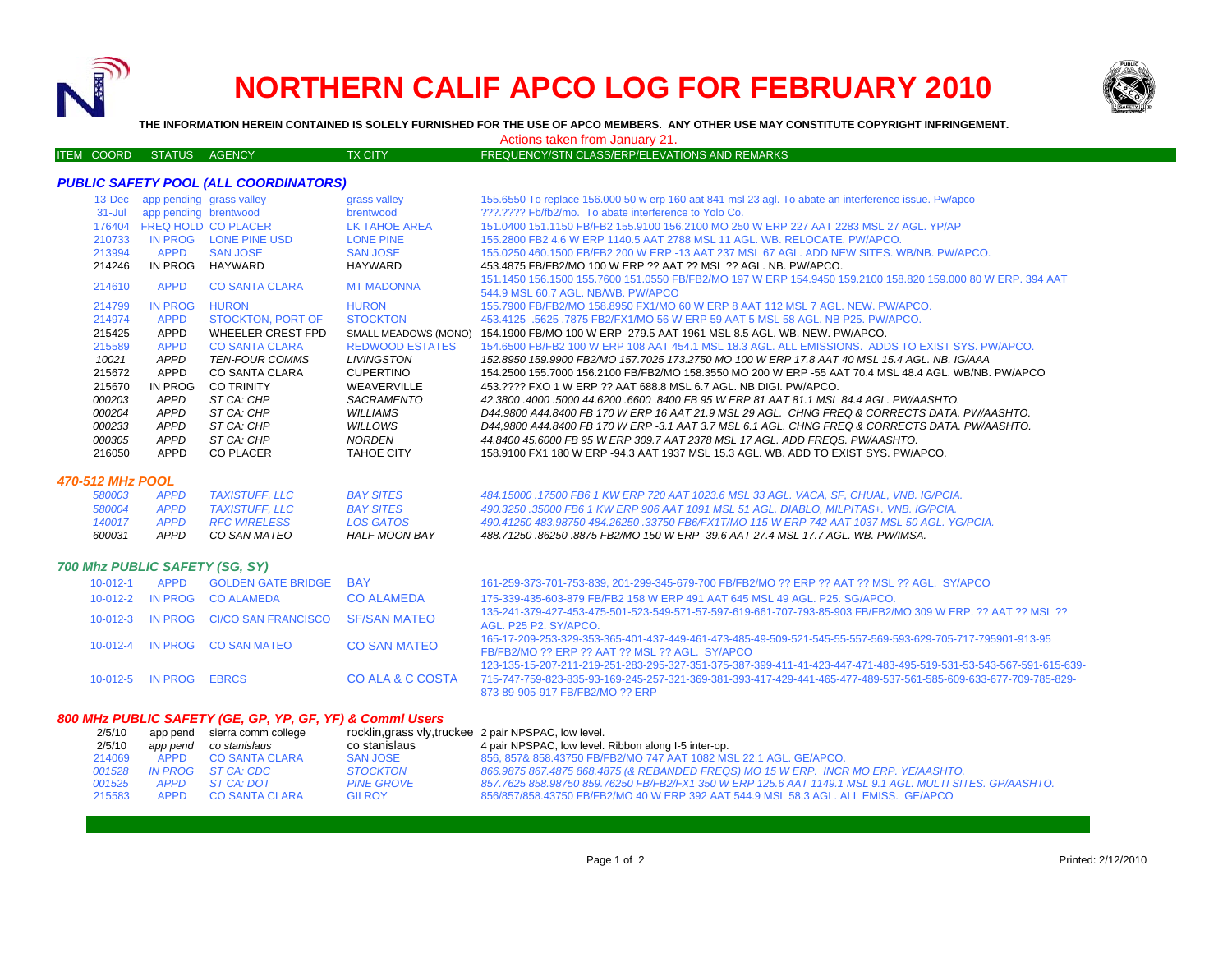

# **NORTHERN CALIF APCO LOG FOR FEBRUARY 2010**



**THE INFORMATION HEREIN CONTAINED IS SOLELY FURNISHED FOR THE USE OF APCO MEMBERS. ANY OTHER USE MAY CONSTITUTE COPYRIGHT INFRINGEMENT.**

Actions taken from January 21.

#### ITEM COORD STATUS AGENCY TX CITY TX CITY FREQUENCY/STN CLASS/ERP/ELEVATIONS AND REMARKS

#### *PUBLIC SAFETY POOL (ALL COORDINATORS)*

| $13$ -Dec $-$ | app pending grass valley |                       | grass valley           | 155.6550 To replace 156.000 50 w erp 160 aat 841 msl 23 agl. To abate an interference issue. Pw/apco        |
|---------------|--------------------------|-----------------------|------------------------|-------------------------------------------------------------------------------------------------------------|
| $31 -$ Jul    | app pending brentwood    |                       | brentwood              | 222.2222 Fb/fb2/mo. To abate interference to Yolo Co.                                                       |
| 176404        |                          | FREQ HOLD CO PLACER   | LK TAHOE AREA          | 151.0400 151.1150 FB/FB2 155.9100 156.2100 MO 250 W ERP 227 AAT 2283 MSL 27 AGL. YP/AP                      |
| 210733        | IN PROG                  | LONE PINE USD         | <b>LONE PINE</b>       | 155,2800 FB2 4.6 W ERP 1140.5 AAT 2788 MSL 11 AGL, WB, RELOCATE, PW/APCO,                                   |
| 213994        | <b>APPD</b>              | <b>SAN JOSE</b>       | <b>SAN JOSE</b>        | 155.0250 460.1500 FB/FB2 200 W ERP -13 AAT 237 MSL 67 AGL. ADD NEW SITES. WB/NB. PW/APCO.                   |
| 214246        | IN PROG                  | HAYWARD               | HAYWARD                | 453.4875 FB/FB2/MO 100 W ERP ?? AAT ?? MSL ?? AGL. NB. PW/APCO.                                             |
|               |                          |                       |                        | 151.1450 156.1500 155.7600 151.0550 FB/FB2/MO 197 W ERP 154.9450 159.2100 158.820 159.000 80 W ERP. 394 AAT |
| 214610        | <b>APPD</b>              | <b>CO SANTA CLARA</b> | <b>MT MADONNA</b>      | 544.9 MSL 60.7 AGL, NB/WB, PW/APCO                                                                          |
| 214799        | IN PROG                  | <b>HURON</b>          | <b>HURON</b>           | 155,7900 FB/FB2/MO 158,8950 FX1/MO 60 W ERP 8 AAT 112 MSL 7 AGL. NEW, PW/APCO.                              |
| 214974        | <b>APPD</b>              | STOCKTON, PORT OF     | <b>STOCKTON</b>        | 453.4125 .5625 .7875 FB2/FX1/MO 56 W ERP 59 AAT 5 MSL 58 AGL. NB P25, PW/APCO.                              |
| 215425        | APPD                     | WHEELER CREST FPD     | SMALL MEADOWS (MONO)   | 154.1900 FB/MO 100 W ERP -279.5 AAT 1961 MSL 8.5 AGL, WB, NEW, PW/APCO,                                     |
| 215589        | <b>APPD</b>              | <b>CO SANTA CLARA</b> | <b>REDWOOD ESTATES</b> | 154,6500 FB/FB2 100 W ERP 108 AAT 454.1 MSL 18.3 AGL. ALL EMISSIONS. ADDS TO EXIST SYS. PW/APCO.            |
| 10021         | APPD                     | <b>TEN-FOUR COMMS</b> | LIVINGSTON             | 152.8950 159.9900 FB2/MO 157.7025 173.2750 MO 100 W ERP 17.8 AAT 40 MSL 15.4 AGL. NB. IG/AAA                |
| 215672        | APPD                     | CO SANTA CLARA        | <b>CUPERTINO</b>       | 154.2500 155.7000 156.2100 FB/FB2/MO 158.3550 MO 200 W ERP -55 AAT 70.4 MSL 48.4 AGL, WB/NB, PW/APCO        |
| 215670        | IN PROG                  | <b>CO TRINITY</b>     | WEAVERVILLE            | 453.???? FXO 1 W ERP ?? AAT 688.8 MSL 6.7 AGL. NB DIGL PW/APCO.                                             |
| 000203        | <b>APPD</b>              | ST CA: CHP            | <b>SACRAMENTO</b>      | 42.3800 4000 5000 44.6200 6600 8400 FB 95 W ERP 81 AAT 81 1 MSL 84.4 AGL, PW/AASHTO,                        |
| 000204        | <b>APPD</b>              | ST CA: CHP            | WILLIAMS               | D44,9800 A44,8400 FB 170 W ERP 16 AAT 21.9 MSL 29 AGL. CHNG FREQ & CORRECTS DATA, PW/AASHTO,                |
| 000233        | <b>APPD</b>              | ST CA: CHP            | WILLOWS                | D44.9800 A44.8400 FB 170 W ERP -3.1 AAT 3.7 MSL 6.1 AGL. CHNG FREQ & CORRECTS DATA. PW/AASHTO.              |
| <i>000305</i> | <b>APPD</b>              | ST CA: CHP            | NORDEN                 | 44.8400 45.6000 FB 95 W ERP 309.7 AAT 2378 MSL 17 AGL. ADD FREQS. PW/AASHTO.                                |
| 216050        | APPD                     | <b>CO PLACER</b>      | TAHOE CITY             | 158,9100 FX1 180 W ERP -94.3 AAT 1937 MSL 15.3 AGL. WB. ADD TO EXIST SYS. PW/APCO.                          |
|               |                          |                       |                        |                                                                                                             |

## *470-512 MHz POOL*

| 600031 | APPD        | CO SAN MATEO        | HALF MOON BAY    | 488.71250 .86250 .8875 FB2/MO 150 W ERP -39.6 AAT 27.4 MSL 17.7 AGL. WB. PW/IMSA.            |
|--------|-------------|---------------------|------------------|----------------------------------------------------------------------------------------------|
| 140017 | <b>APPD</b> | <i>RFC WIRELESS</i> | LOS GATOS        | 490.41250 483.98750 484.26250 .33750 FB6/FX1T/MO 115 W ERP 742 AAT 1037 MSL 50 AGL. YG/PCIA. |
| 580004 | APPD        | TAXISTUFF. LLC      | <b>BAY SITES</b> | 490.3250 .35000 FB6 1 KW ERP 906 AAT 1091 MSL 51 AGL, DIABLO, MILPITAS+, VNB, IG/PCIA,       |
| 580003 | <b>APPD</b> | TAXISTUFF. LLC      | <b>BAY SITES</b> | 484.15000 .17500 FB6 1 KW ERP 720 AAT 1023.6 MSL 33 AGL. VACA, SF, CHUAL, VNB. IG/PCIA.      |

#### *700 Mhz PUBLIC SAFETY (SG, SY)*

| $10-012-1$ | APPD                   | <b>GOLDEN GATE BRIDGE</b>                         | <b>BAY</b>          | 161-259-373-701-753-839, 201-299-345-679-700 FB/FB2/MO ?? ERP ?? AAT ?? MSL ?? AGL. SY/APCO                                                                                                                                                                             |
|------------|------------------------|---------------------------------------------------|---------------------|-------------------------------------------------------------------------------------------------------------------------------------------------------------------------------------------------------------------------------------------------------------------------|
| 10-012-2   |                        | IN PROG CO ALAMEDA                                | <b>CO ALAMEDA</b>   | 175-339-435-603-879 FB/FB2 158 W ERP 491 AAT 645 MSL 49 AGL, P25, SG/APCO,                                                                                                                                                                                              |
|            |                        | 10-012-3 IN PROG CI/CO SAN FRANCISCO SF/SAN MATEO |                     | 135-241-379-427-453-475-501-523-549-571-57-597-619-661-707-793-85-903 FB/FB2/MO 309 W ERP, ?? AAT ?? MSL ??<br>AGL, P25 P2, SY/APCO.                                                                                                                                    |
|            |                        | 10-012-4 IN PROG CO SAN MATEO                     | <b>CO SAN MATEO</b> | 165-17-209-253-329-353-365-401-437-449-461-473-485-49-509-521-545-55-557-569-593-629-705-717-795901-913-95<br>FB/FB2/MO ?? ERP ?? AAT ?? MSL ?? AGL. SY/APCO                                                                                                            |
|            | 10-012-5 IN PROG EBRCS |                                                   | CO ALA & C COSTA    | 123-135-15-207-211-219-251-283-295-327-351-375-387-399-411-41-423-447-471-483-495-519-531-53-543-567-591-615-639-<br>715-747-759-823-835-93-169-245-257-321-369-381-393-417-429-441-465-477-489-537-561-585-609-633-677-709-785-829-<br>873-89-905-917 FB/FB2/MO ?? ERP |

## *800 MHz PUBLIC SAFETY (GE, GP, YP, GF, YF) & Comml Users*

| 2/5/10 |          | app pend sierra comm college | rocklin, grass vly, truckee 2 pair NPSPAC, low level. |                                                                                                         |
|--------|----------|------------------------------|-------------------------------------------------------|---------------------------------------------------------------------------------------------------------|
| 2/5/10 | app pend | co stanislaus                | co stanislaus                                         | 4 pair NPSPAC, low level. Ribbon along I-5 inter-op.                                                    |
| 214069 |          | APPD CO SANTA CLARA          | SAN JOSE                                              | 856, 857& 858,43750 FB/FB2/MO 747 AAT 1082 MSL 22.1 AGL, GE/APCO.                                       |
| 001528 |          | IN PROG ST CA: CDC           | <b>STOCKTON</b>                                       | 866.9875 867.4875 868.4875 (& REBANDED FREQS) MO 15 W ERP. INCR MO ERP. YE/AASHTO.                      |
| 001525 |          | APPD ST CA: DOT              | <b>PINE GROVE</b>                                     | 857.7625 858.98750 859.76250 FB/FB2/FX1 350 W ERP 125.6 AAT 1149.1 MSL 9.1 AGL. MULTI SITES. GP/AASHTO. |
| 215583 |          | APPD CO SANTA CLARA          | <b>GILROY</b>                                         | 856/857/858.43750 FB/FB2/MO 40 W ERP 392 AAT 544.9 MSL 58.3 AGL. ALL EMISS. GE/APCO                     |